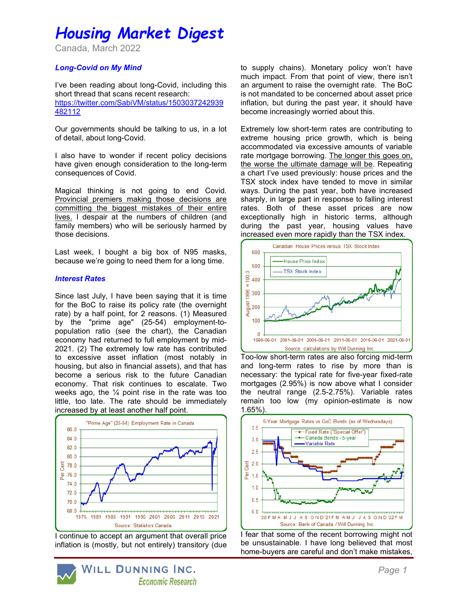# Housing Market Digest

Canada, March 2022

## Long-Covid on My Mind

I've been reading about long-Covid, including this short thread that scans recent research: https://twitter.com/SabiVM/status/1503037242939 482112

Our governments should be talking to us, in a lot of detail, about long-Covid.

I also have to wonder if recent policy decisions have given enough consideration to the long-term consequences of Covid.

Magical thinking is not going to end Covid. Provincial premiers making those decisions are committing the biggest mistakes of their entire lives. I despair at the numbers of children (and family members) who will be seriously harmed by those decisions.

Last week, I bought a big box of N95 masks, because we're going to need them for a long time.

#### Interest Rates

Since last July, I have been saying that it is time for the BoC to raise its policy rate (the overnight rate) by a half point, for 2 reasons. (1) Measured by the "prime age" (25-54) employment-topopulation ratio (see the chart), the Canadian economy had returned to full employment by mid-2021. (2) The extremely low rate has contributed to excessive asset inflation (most notably in housing, but also in financial assets), and that has become a serious risk to the future Canadian economy. That risk continues to escalate. Two weeks ago, the  $\frac{1}{4}$  point rise in the rate was too little, too late. The rate should be immediately increased by at least another half point.



I continue to accept an argument that overall price inflation is (mostly, but not entirely) transitory (due to supply chains). Monetary policy won't have much impact. From that point of view, there isn't an argument to raise the overnight rate. The BoC is not mandated to be concerned about asset price inflation, but during the past year, it should have become increasingly worried about this.

Extremely low short-term rates are contributing to extreme housing price growth, which is being accommodated via excessive amounts of variable rate mortgage borrowing. The longer this goes on, the worse the ultimate damage will be. Repeating a chart I've used previously: house prices and the TSX stock index have tended to move in similar ways. During the past year, both have increased sharply, in large part in response to falling interest rates. Both of these asset prices are now exceptionally high in historic terms, although during the past year, housing values have increased even more rapidly than the TSX index.



Too-low short-term rates are also forcing mid-term and long-term rates to rise by more than is necessary: the typical rate for five-year fixed-rate mortgages (2.95%) is now above what I consider the neutral range (2.5-2.75%). Variable rates remain too low (my opinion-estimate is now 1.65%).



I fear that some of the recent borrowing might not be unsustainable. I have long believed that most home-buyers are careful and don't make mistakes,